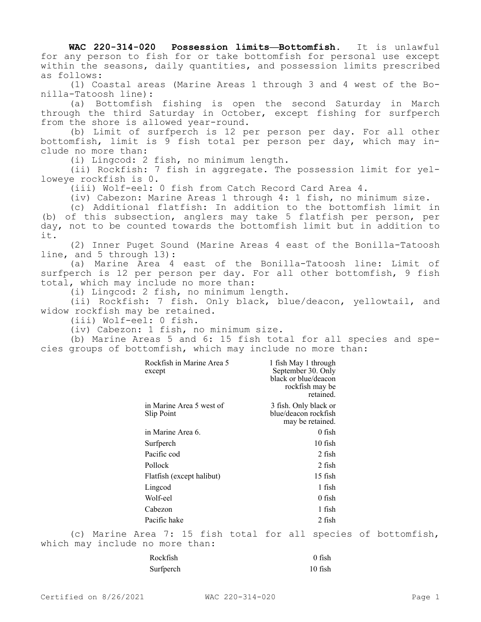**WAC 220-314-020 Possession limits—Bottomfish.** It is unlawful for any person to fish for or take bottomfish for personal use except within the seasons, daily quantities, and possession limits prescribed as follows:

(1) Coastal areas (Marine Areas 1 through 3 and 4 west of the Bonilla-Tatoosh line):

(a) Bottomfish fishing is open the second Saturday in March through the third Saturday in October, except fishing for surfperch from the shore is allowed year-round.

(b) Limit of surfperch is 12 per person per day. For all other bottomfish, limit is 9 fish total per person per day, which may include no more than:

(i) Lingcod: 2 fish, no minimum length.

(ii) Rockfish: 7 fish in aggregate. The possession limit for yelloweye rockfish is 0.

(iii) Wolf-eel: 0 fish from Catch Record Card Area 4.

(iv) Cabezon: Marine Areas 1 through 4: 1 fish, no minimum size.

(c) Additional flatfish: In addition to the bottomfish limit in (b) of this subsection, anglers may take 5 flatfish per person, per day, not to be counted towards the bottomfish limit but in addition to it.

(2) Inner Puget Sound (Marine Areas 4 east of the Bonilla-Tatoosh line, and 5 through 13):

(a) Marine Area 4 east of the Bonilla-Tatoosh line: Limit of surfperch is 12 per person per day. For all other bottomfish, 9 fish total, which may include no more than:

(i) Lingcod: 2 fish, no minimum length.

(ii) Rockfish: 7 fish. Only black, blue/deacon, yellowtail, and widow rockfish may be retained.

(iii) Wolf-eel: 0 fish.

(iv) Cabezon: 1 fish, no minimum size.

(b) Marine Areas 5 and 6: 15 fish total for all species and species groups of bottomfish, which may include no more than:

| Rockfish in Marine Area 5<br>except    | 1 fish May 1 through<br>September 30. Only<br>black or blue/deacon<br>rockfish may be<br>retained. |  |
|----------------------------------------|----------------------------------------------------------------------------------------------------|--|
| in Marine Area 5 west of<br>Slip Point | 3 fish. Only black or<br>blue/deacon rockfish<br>may be retained.                                  |  |
| in Marine Area 6.                      | $0$ fish                                                                                           |  |
| Surfperch                              | $10$ fish                                                                                          |  |
| Pacific cod                            | 2 fish                                                                                             |  |
| Pollock                                | 2 fish                                                                                             |  |
| Flatfish (except halibut)              | 15 fish                                                                                            |  |
| Lingcod                                | 1 fish                                                                                             |  |
| Wolf-eel                               | $0$ fish                                                                                           |  |
| Cabezon                                | 1 fish                                                                                             |  |
| Pacific hake                           | 2 fish                                                                                             |  |
| $\pi$ - - - -                          | $7.15.21 h + h + h$                                                                                |  |

(c) Marine Area 7: 15 fish total for all species of bottomfish, which may include no more than:

| Rockfish  | $0$ fish  |
|-----------|-----------|
| Surfperch | $10$ fish |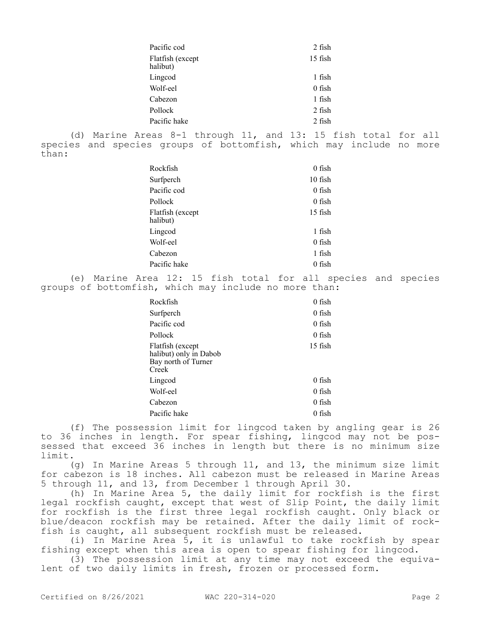| Pacific cod                                                                                                               | 2 fish                                                                                                                                |  |
|---------------------------------------------------------------------------------------------------------------------------|---------------------------------------------------------------------------------------------------------------------------------------|--|
| Flatfish (except<br>halibut)                                                                                              | 15 fish                                                                                                                               |  |
| Lingcod                                                                                                                   | 1 fish                                                                                                                                |  |
| Wolf-eel                                                                                                                  | $0$ fish                                                                                                                              |  |
| Cabezon                                                                                                                   | 1 fish                                                                                                                                |  |
| Pollock                                                                                                                   | 2 fish                                                                                                                                |  |
| Pacific hake                                                                                                              | 2 fish                                                                                                                                |  |
| than:                                                                                                                     | (d) Marine Areas 8-1 through 11, and 13: 15 fish total for all<br>species and species groups of bottomfish, which may include no more |  |
| Rockfish                                                                                                                  | $0$ fish                                                                                                                              |  |
| Surfperch                                                                                                                 | 10 fish                                                                                                                               |  |
| Pacific cod                                                                                                               | $0$ fish                                                                                                                              |  |
| Pollock                                                                                                                   | $0$ fish                                                                                                                              |  |
| Flatfish (except<br>halibut)                                                                                              | 15 fish                                                                                                                               |  |
| Lingcod                                                                                                                   | $1$ fish                                                                                                                              |  |
| Wolf-eel                                                                                                                  | $0$ fish                                                                                                                              |  |
| Cabezon                                                                                                                   | 1 fish                                                                                                                                |  |
| Pacific hake                                                                                                              | $0$ fish                                                                                                                              |  |
| Marine Area 12: 15 fish total for all species and species<br>(e)<br>groups of bottomfish, which may include no more than: |                                                                                                                                       |  |
| Rockfish                                                                                                                  | $0$ fish                                                                                                                              |  |
| Surfperch                                                                                                                 | $0$ fish                                                                                                                              |  |
| Pacific cod                                                                                                               | $0$ fish                                                                                                                              |  |
| Pollock                                                                                                                   | $0$ fish                                                                                                                              |  |

| Pollock                                                                    | $0$ fish |
|----------------------------------------------------------------------------|----------|
| Flatfish (except<br>halibut) only in Dabob<br>Bay north of Turner<br>Creek | 15 fish  |
| Lingcod                                                                    | 0 fish   |
| Wolf-eel                                                                   | $0$ fish |
| Cabezon                                                                    | $0$ fish |
| Pacific hake                                                               | $0$ fish |
|                                                                            |          |

(f) The possession limit for lingcod taken by angling gear is 26 to 36 inches in length. For spear fishing, lingcod may not be possessed that exceed 36 inches in length but there is no minimum size limit.

(g) In Marine Areas 5 through 11, and 13, the minimum size limit for cabezon is 18 inches. All cabezon must be released in Marine Areas 5 through 11, and 13, from December 1 through April 30.

(h) In Marine Area 5, the daily limit for rockfish is the first legal rockfish caught, except that west of Slip Point, the daily limit for rockfish is the first three legal rockfish caught. Only black or blue/deacon rockfish may be retained. After the daily limit of rockfish is caught, all subsequent rockfish must be released.

(i) In Marine Area 5, it is unlawful to take rockfish by spear fishing except when this area is open to spear fishing for lingcod.

(3) The possession limit at any time may not exceed the equivalent of two daily limits in fresh, frozen or processed form.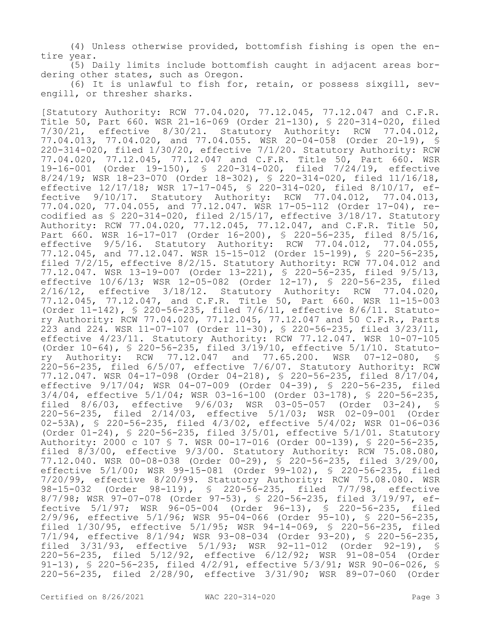(4) Unless otherwise provided, bottomfish fishing is open the entire year.

(5) Daily limits include bottomfish caught in adjacent areas bordering other states, such as Oregon.

(6) It is unlawful to fish for, retain, or possess sixgill, sevengill, or thresher sharks.

[Statutory Authority: RCW 77.04.020, 77.12.045, 77.12.047 and C.F.R. Title 50, Part 660. WSR 21-16-069 (Order 21-130), § 220-314-020, filed 7/30/21, effective 8/30/21. Statutory Authority: RCW 77.04.012, 77.04.013, 77.04.020, and 77.04.055. WSR 20-04-058 (Order 20-19), § 220-314-020, filed 1/30/20, effective 7/1/20. Statutory Authority: RCW 77.04.020, 77.12.045, 77.12.047 and C.F.R. Title 50, Part 660. WSR 19-16-001 (Order 19-150), § 220-314-020, filed 7/24/19, effective 8/24/19; WSR 18-23-070 (Order 18-302), § 220-314-020, filed 11/16/18, effective 12/17/18; WSR 17-17-045, § 220-314-020, filed 8/10/17, effective 9/10/17. Statutory Authority: RCW 77.04.012, 77.04.013, 77.04.020, 77.04.055, and 77.12.047. WSR 17-05-112 (Order 17-04), recodified as § 220-314-020, filed 2/15/17, effective 3/18/17. Statutory Authority: RCW 77.04.020, 77.12.045, 77.12.047, and C.F.R. Title 50, Part 660. WSR 16-17-017 (Order 16-200), § 220-56-235, filed 8/5/16, effective 9/5/16. Statutory Authority: RCW 77.04.012, 77.04.055, 77.12.045, and 77.12.047. WSR 15-15-012 (Order 15-199), § 220-56-235, filed 7/2/15, effective 8/2/15. Statutory Authority: RCW 77.04.012 and 77.12.047. WSR 13-19-007 (Order 13-221), § 220-56-235, filed 9/5/13, effective 10/6/13; WSR 12-05-082 (Order 12-17), § 220-56-235, filed 2/16/12, effective 3/18/12. Statutory Authority: RCW 77.04.020, 77.12.045, 77.12.047, and C.F.R. Title 50, Part 660. WSR 11-15-003 (Order 11-142), § 220-56-235, filed 7/6/11, effective 8/6/11. Statutory Authority: RCW 77.04.020, 77.12.045, 77.12.047 and 50 C.F.R., Parts 223 and 224. WSR 11-07-107 (Order 11-30), § 220-56-235, filed 3/23/11, effective 4/23/11. Statutory Authority: RCW 77.12.047. WSR 10-07-105 (Order 10-64), § 220-56-235, filed 3/19/10, effective 5/1/10. Statutory Authority: RCW 77.12.047 and 77.65.200. WSR 07-12-080, § 220-56-235, filed 6/5/07, effective 7/6/07. Statutory Authority: RCW 77.12.047. WSR 04-17-098 (Order 04-218), § 220-56-235, filed 8/17/04, effective 9/17/04; WSR 04-07-009 (Order 04-39), § 220-56-235, filed 3/4/04, effective 5/1/04; WSR 03-16-100 (Order 03-178), § 220-56-235, filed 8/6/03, effective 9/6/03; WSR 03-05-057 (Order 03-24), § 220-56-235, filed 2/14/03, effective 5/1/03; WSR 02-09-001 (Order 02-53A), § 220-56-235, filed 4/3/02, effective 5/4/02; WSR 01-06-036 (Order 01-24), § 220-56-235, filed 3/5/01, effective 5/1/01. Statutory Authority: 2000 c 107 § 7. WSR 00-17-016 (Order 00-139), § 220-56-235, filed 8/3/00, effective 9/3/00. Statutory Authority: RCW 75.08.080, 77.12.040. WSR 00-08-038 (Order 00-29), § 220-56-235, filed 3/29/00, effective 5/1/00; WSR 99-15-081 (Order 99-102), § 220-56-235, filed 7/20/99, effective 8/20/99. Statutory Authority: RCW 75.08.080. WSR 98-15-032 (Order 98-119), § 220-56-235, filed 7/7/98, effective 8/7/98; WSR 97-07-078 (Order 97-53), § 220-56-235, filed 3/19/97, effective 5/1/97; WSR 96-05-004 (Order 96-13), § 220-56-235, filed 2/9/96, effective 5/1/96; WSR 95-04-066 (Order 95-10), § 220-56-235, filed 1/30/95, effective 5/1/95; WSR 94-14-069, § 220-56-235, filed 7/1/94, effective 8/1/94; WSR 93-08-034 (Order 93-20), § 220-56-235, filed 3/31/93, effective 5/1/93; WSR 92-11-012 (Order 92-19), § 220-56-235, filed 5/12/92, effective 6/12/92; WSR 91-08-054 (Order 91-13), § 220-56-235, filed 4/2/91, effective 5/3/91; WSR 90-06-026, § 220-56-235, filed 2/28/90, effective 3/31/90; WSR 89-07-060 (Order